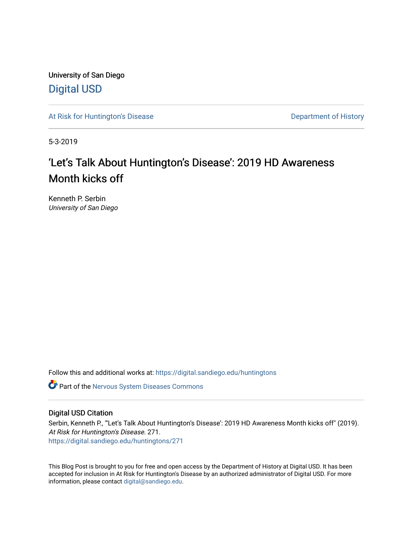University of San Diego [Digital USD](https://digital.sandiego.edu/)

[At Risk for Huntington's Disease](https://digital.sandiego.edu/huntingtons) **Department of History** Department of History

5-3-2019

# 'Let's Talk About Huntington's Disease': 2019 HD Awareness Month kicks off

Kenneth P. Serbin University of San Diego

Follow this and additional works at: [https://digital.sandiego.edu/huntingtons](https://digital.sandiego.edu/huntingtons?utm_source=digital.sandiego.edu%2Fhuntingtons%2F271&utm_medium=PDF&utm_campaign=PDFCoverPages)

**C** Part of the [Nervous System Diseases Commons](http://network.bepress.com/hgg/discipline/928?utm_source=digital.sandiego.edu%2Fhuntingtons%2F271&utm_medium=PDF&utm_campaign=PDFCoverPages)

# Digital USD Citation

Serbin, Kenneth P., "'Let's Talk About Huntington's Disease': 2019 HD Awareness Month kicks off" (2019). At Risk for Huntington's Disease. 271. [https://digital.sandiego.edu/huntingtons/271](https://digital.sandiego.edu/huntingtons/271?utm_source=digital.sandiego.edu%2Fhuntingtons%2F271&utm_medium=PDF&utm_campaign=PDFCoverPages)

This Blog Post is brought to you for free and open access by the Department of History at Digital USD. It has been accepted for inclusion in At Risk for Huntington's Disease by an authorized administrator of Digital USD. For more information, please contact [digital@sandiego.edu.](mailto:digital@sandiego.edu)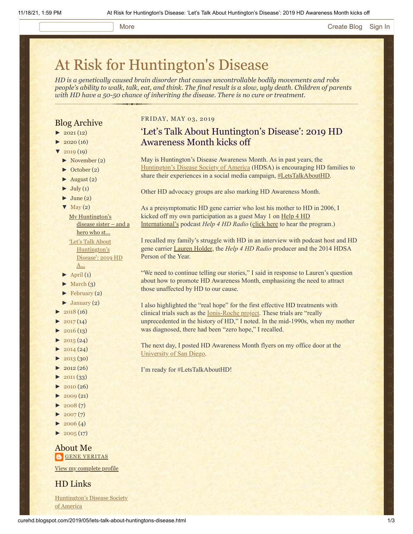### More **[Create Blog](https://www.blogger.com/home#create) [Sign In](https://www.blogger.com/)**

# [At Risk for Huntington's Disease](http://curehd.blogspot.com/)

*HD is a genetically caused brain disorder that causes uncontrollable bodily movements and robs people's ability to walk, talk, eat, and think. The final result is a slow, ugly death. Children of parents with HD have a 50-50 chance of inheriting the disease. There is no cure or treatment.*

# Blog Archive

- $\blacktriangleright$  [2021](http://curehd.blogspot.com/2021/) (12)
- $2020(16)$  $2020(16)$
- $2019(19)$  $2019(19)$
- [►](javascript:void(0)) [November](http://curehd.blogspot.com/2019/11/) (2)
- [►](javascript:void(0)) [October](http://curehd.blogspot.com/2019/10/) (2)
- $\blacktriangleright$  [August](http://curehd.blogspot.com/2019/08/) (2)
- $\blacktriangleright$  [July](http://curehd.blogspot.com/2019/07/) (1)
- $\blacktriangleright$  [June](http://curehd.blogspot.com/2019/06/) (2)
- $\nabla$  [May](http://curehd.blogspot.com/2019/05/) (2)

My [Huntington's](http://curehd.blogspot.com/2019/05/my-huntingtons-disease-sister-and-hero.html) disease sister – and a hero who st... 'Let's Talk About [Huntington's](http://curehd.blogspot.com/2019/05/lets-talk-about-huntingtons-disease.html) Disease': 2019 HD A...

- $\blacktriangleright$  [April](http://curehd.blogspot.com/2019/04/) (1)
- $\blacktriangleright$  [March](http://curehd.blogspot.com/2019/03/) (3)
- [►](javascript:void(0)) [February](http://curehd.blogspot.com/2019/02/) (2)
- $\blacktriangleright$  [January](http://curehd.blogspot.com/2019/01/) (2)
- $2018(16)$  $2018(16)$
- $2017(14)$  $2017(14)$
- $2016(13)$  $2016(13)$
- $\blacktriangleright$  [2015](http://curehd.blogspot.com/2015/) (24)
- $\blacktriangleright$  [2014](http://curehd.blogspot.com/2014/) (24)
- $-2013(30)$  $-2013(30)$  $-2013(30)$
- $\blacktriangleright$  [2012](http://curehd.blogspot.com/2012/) (26)
- $\blacktriangleright$  [2011](http://curehd.blogspot.com/2011/) (33)
- $\blacktriangleright$  [2010](http://curehd.blogspot.com/2010/) (26)
- $\blacktriangleright$  [2009](http://curehd.blogspot.com/2009/) (21)
- $2008(7)$  $2008(7)$
- $2007(7)$  $2007(7)$
- $\blacktriangleright$  [2006](http://curehd.blogspot.com/2006/) (4)
- $\blacktriangleright$  [2005](http://curehd.blogspot.com/2005/) (17)

# About Me **GENE [VERITAS](https://www.blogger.com/profile/10911736205741688185)**

View my [complete](https://www.blogger.com/profile/10911736205741688185) profile

HD Links

[Huntington's](http://www.hdsa.org/) Disease Society of America

# FRIDAY, MAY 03, 2019

# 'Let's Talk About Huntington's Disease': 2019 HD Awareness Month kicks off

May is Huntington's Disease Awareness Month. As in past years, the [Huntington's Disease Society of America](http://www.hdsa.org/) (HDSA) is encouraging HD families to share their experiences in a social media campaign, [#LetsTalkAboutHD](http://hdsa.org/this-may-letstalkabouthd/).

Other HD advocacy groups are also marking HD Awareness Month.

As a presymptomatic HD gene carrier who lost his mother to HD in 2006, I [kicked off my own participation as a guest May 1 on Help 4 HD](https://help4hd.org/) International's podcast *Help 4 HD Radio* [\(click here](http://www.blogtalkradio.com/help4hd/2019/05/01/gene-veritas) to hear the program.)

I recalled my family's struggle with HD in an interview with podcast host and HD gene carrier [Lauren Holder,](https://www.goodhousekeeping.com/health/a35991/genetic-test-huntingtons-disease-lauren-holder/) the *Help 4 HD Radio* producer and the 2014 HDSA Person of the Year.

"We need to continue telling our stories," I said in response to Lauren's question about how to promote HD Awareness Month, emphasizing the need to attract those unaffected by HD to our cause.

I also highlighted the "real hope" for the first effective HD treatments with clinical trials such as the [Ionis-Roche project](http://curehd.blogspot.com/2019/03/roche-less-frequent-dosing-for-phase-3.html). These trials are "really unprecedented in the history of HD," I noted. In the mid-1990s, when my mother was diagnosed, there had been "zero hope," I recalled.

The next day, I posted HD Awareness Month flyers on my office door at the [University of San Diego](https://www.sandiego.edu/).

I'm ready for #LetsTalkAboutHD!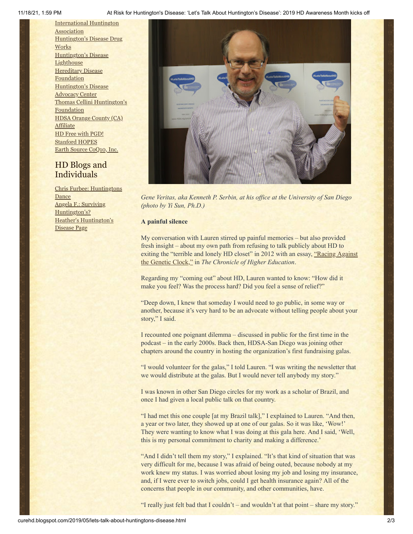11/18/21, 1:59 PM At Risk for Huntington's Disease: 'Let's Talk About Huntington's Disease': 2019 HD Awareness Month kicks off

[International](http://www.huntington-assoc.com/) Huntington **Association** [Huntington's](http://hddrugworks.org/) Disease Drug **Works** [Huntington's](http://www.hdlighthouse.org/) Disease **Lighthouse [Hereditary](http://www.hdfoundation.org/) Disease Foundation** [Huntington's](http://www.hdac.org/) Disease Advocacy Center Thomas [Cellini Huntington's](http://www.ourtchfoundation.org/) **Foundation** HDSA Orange County (CA) **[Affiliate](http://www.hdsaoc.org/)** HD Free with [PGD!](http://www.hdfreewithpgd.com/) [Stanford](http://www.stanford.edu/group/hopes/) HOPES Earth Source [CoQ10,](http://www.escoq10.com/) Inc.

# HD Blogs and Individuals

Chris Furbee: [Huntingtons](http://www.huntingtonsdance.org/) Dance Angela F.: Surviving [Huntington's?](http://survivinghuntingtons.blogspot.com/) Heather's [Huntington's](http://heatherdugdale.angelfire.com/) Disease Page



*Gene Veritas, aka Kenneth P. Serbin, at his office at the University of San Diego (photo by Yi Sun, Ph.D.)*

# **A painful silence**

My conversation with Lauren stirred up painful memories – but also provided fresh insight – about my own path from refusing to talk publicly about HD to [exiting the "terrible and lonely HD closet" in 2012 with an essay, "Racing Against](https://www.chronicle.com/article/Racing-Against-the-Genetic/135542)" the Genetic Clock," in *The Chronicle of Higher Education*.

Regarding my "coming out" about HD, Lauren wanted to know: "How did it make you feel? Was the process hard? Did you feel a sense of relief?"

"Deep down, I knew that someday I would need to go public, in some way or another, because it's very hard to be an advocate without telling people about your story," I said.

I recounted one poignant dilemma – discussed in public for the first time in the podcast – in the early 2000s. Back then, HDSA-San Diego was joining other chapters around the country in hosting the organization's first fundraising galas.

"I would volunteer for the galas," I told Lauren. "I was writing the newsletter that we would distribute at the galas. But I would never tell anybody my story."

I was known in other San Diego circles for my work as a scholar of Brazil, and once I had given a local public talk on that country.

"I had met this one couple [at my Brazil talk]," I explained to Lauren. "And then, a year or two later, they showed up at one of our galas. So it was like, 'Wow!' They were wanting to know what I was doing at this gala here. And I said, 'Well, this is my personal commitment to charity and making a difference.'

"And I didn't tell them my story," I explained. "It's that kind of situation that was very difficult for me, because I was afraid of being outed, because nobody at my work knew my status. I was worried about losing my job and losing my insurance, and, if I were ever to switch jobs, could I get health insurance again? All of the concerns that people in our community, and other communities, have.

"I really just felt bad that I couldn't – and wouldn't at that point – share my story."